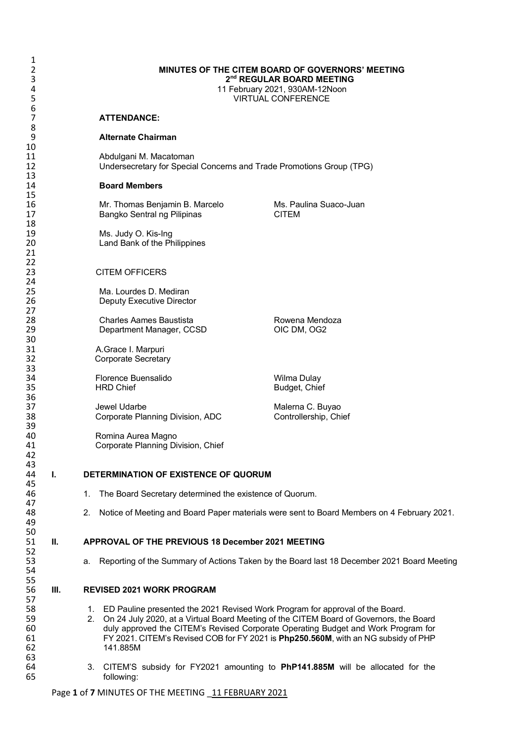| 1<br>2<br>3<br>$\overline{4}$<br>5 |    | <b>MINUTES OF THE CITEM BOARD OF GOVERNORS' MEETING</b><br>2 <sup>nd</sup> REGULAR BOARD MEETING<br>11 February 2021, 930AM-12Noon<br><b>VIRTUAL CONFERENCE</b> |                                                                                                                                                                                                                                                                                                                                                    |  |  |
|------------------------------------|----|-----------------------------------------------------------------------------------------------------------------------------------------------------------------|----------------------------------------------------------------------------------------------------------------------------------------------------------------------------------------------------------------------------------------------------------------------------------------------------------------------------------------------------|--|--|
| 6<br>7                             |    | <b>ATTENDANCE:</b>                                                                                                                                              |                                                                                                                                                                                                                                                                                                                                                    |  |  |
| 8<br>9                             |    | <b>Alternate Chairman</b>                                                                                                                                       |                                                                                                                                                                                                                                                                                                                                                    |  |  |
| 10<br>11                           |    | Abdulgani M. Macatoman                                                                                                                                          |                                                                                                                                                                                                                                                                                                                                                    |  |  |
| 12                                 |    | Undersecretary for Special Concerns and Trade Promotions Group (TPG)                                                                                            |                                                                                                                                                                                                                                                                                                                                                    |  |  |
| 13<br>14                           |    | <b>Board Members</b>                                                                                                                                            |                                                                                                                                                                                                                                                                                                                                                    |  |  |
| 15<br>16                           |    | Mr. Thomas Benjamin B. Marcelo                                                                                                                                  | Ms. Paulina Suaco-Juan                                                                                                                                                                                                                                                                                                                             |  |  |
| 17                                 |    | Bangko Sentral ng Pilipinas                                                                                                                                     | <b>CITEM</b>                                                                                                                                                                                                                                                                                                                                       |  |  |
| 18<br>19                           |    | Ms. Judy O. Kis-Ing                                                                                                                                             |                                                                                                                                                                                                                                                                                                                                                    |  |  |
| 20<br>21                           |    | Land Bank of the Philippines                                                                                                                                    |                                                                                                                                                                                                                                                                                                                                                    |  |  |
| 22                                 |    |                                                                                                                                                                 |                                                                                                                                                                                                                                                                                                                                                    |  |  |
| 23<br>24                           |    | <b>CITEM OFFICERS</b>                                                                                                                                           |                                                                                                                                                                                                                                                                                                                                                    |  |  |
| 25<br>26                           |    | Ma. Lourdes D. Mediran                                                                                                                                          |                                                                                                                                                                                                                                                                                                                                                    |  |  |
| 27                                 |    | Deputy Executive Director                                                                                                                                       |                                                                                                                                                                                                                                                                                                                                                    |  |  |
| 28<br>29<br>30                     |    | <b>Charles Aames Baustista</b><br>Department Manager, CCSD                                                                                                      | Rowena Mendoza<br>OIC DM, OG2                                                                                                                                                                                                                                                                                                                      |  |  |
| 31<br>32<br>33                     |    | A.Grace I. Marpuri<br><b>Corporate Secretary</b>                                                                                                                |                                                                                                                                                                                                                                                                                                                                                    |  |  |
| 34<br>35                           |    | Florence Buensalido<br><b>HRD Chief</b>                                                                                                                         | Wilma Dulay<br>Budget, Chief                                                                                                                                                                                                                                                                                                                       |  |  |
| 36<br>37<br>38<br>39               |    | Jewel Udarbe<br>Corporate Planning Division, ADC                                                                                                                | Malerna C. Buyao<br>Controllership, Chief                                                                                                                                                                                                                                                                                                          |  |  |
| 40<br>41<br>42                     |    | Romina Aurea Magno<br>Corporate Planning Division, Chief                                                                                                        |                                                                                                                                                                                                                                                                                                                                                    |  |  |
| 43<br>44<br>45                     | ı. | DETERMINATION OF EXISTENCE OF QUORUM                                                                                                                            |                                                                                                                                                                                                                                                                                                                                                    |  |  |
| 46<br>47                           |    | The Board Secretary determined the existence of Quorum.<br>1.                                                                                                   |                                                                                                                                                                                                                                                                                                                                                    |  |  |
| 48<br>49                           |    | 2.                                                                                                                                                              | Notice of Meeting and Board Paper materials were sent to Board Members on 4 February 2021.                                                                                                                                                                                                                                                         |  |  |
| 50<br>51<br>52                     | Ш. |                                                                                                                                                                 | APPROVAL OF THE PREVIOUS 18 December 2021 MEETING                                                                                                                                                                                                                                                                                                  |  |  |
| 53<br>54                           |    | а.                                                                                                                                                              | Reporting of the Summary of Actions Taken by the Board last 18 December 2021 Board Meeting                                                                                                                                                                                                                                                         |  |  |
| 55<br>56<br>57                     | Ш. | <b>REVISED 2021 WORK PROGRAM</b>                                                                                                                                |                                                                                                                                                                                                                                                                                                                                                    |  |  |
| 58<br>59<br>60<br>61<br>62         |    | 1.<br>2.<br>141.885M                                                                                                                                            | ED Pauline presented the 2021 Revised Work Program for approval of the Board.<br>On 24 July 2020, at a Virtual Board Meeting of the CITEM Board of Governors, the Board<br>duly approved the CITEM's Revised Corporate Operating Budget and Work Program for<br>FY 2021. CITEM's Revised COB for FY 2021 is Php250.560M, with an NG subsidy of PHP |  |  |
| 63<br>64<br>65                     |    | З.<br>following:                                                                                                                                                | CITEM'S subsidy for FY2021 amounting to PhP141.885M will be allocated for the                                                                                                                                                                                                                                                                      |  |  |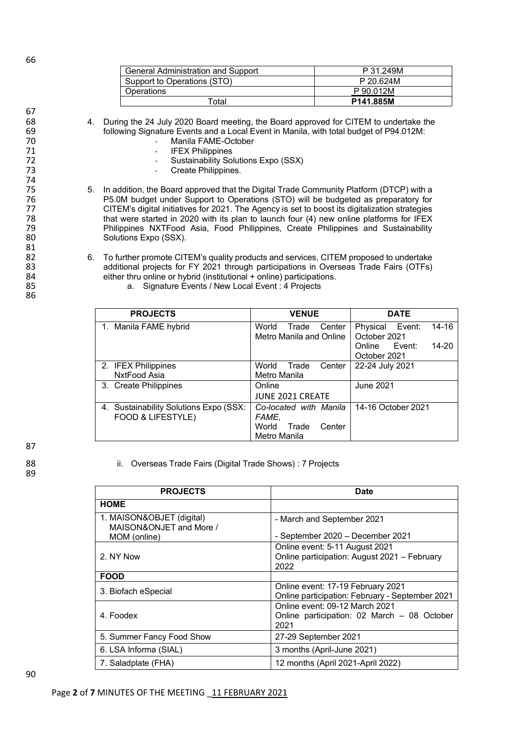| General Administration and Support | P 31.249M |
|------------------------------------|-----------|
| Support to Operations (STO)        | P 20.624M |
| Operations                         | P 90.012M |
| <sup>-</sup> otal                  | P141.885M |

68 4. During the 24 July 2020 Board meeting, the Board approved for CITEM to undertake the 69 following Signature Events and a Local Event in Manila, with total budget of P94.012M: 69 following Signature Events and a Local Event in Manila, with total budget of P94.012M:

- 70 Manila FAME-October<br>71 IFEX Philippines
- 71 IFEX Philippines<br>72 Sustainability So
- 72 Sustainability Solutions Expo (SSX)<br>73 Create Philippines.
	- Create Philippines.
- 75 5. In addition, the Board approved that the Digital Trade Community Platform (DTCP) with a 76 P5.0M budget under Support to Operations (STO) will be budgeted as preparatory for<br>77 CITEM's digital initiatives for 2021. The Agency is set to boost its digitalization strategies 77 CITEM's digital initiatives for 2021. The Agency is set to boost its digitalization strategies<br>78 That were started in 2020 with its plan to launch four (4) new online platforms for IFFX That were started in 2020 with its plan to launch four (4) new online platforms for IFEX<br>That in 2020 with its plan to launch four (4) new online platforms for IFEX<br>79 79 Philippines NXTFood Asia, Food Philippines, Create Philippines and Sustainability<br>80 Solutions Expo (SSX) Solutions Expo (SSX).
- 82 6. To further promote CITEM's quality products and services, CITEM proposed to undertake<br>83 additional projects for FY 2021 through participations in Overseas Trade Fairs (OTFs) 83 additional projects for FY 2021 through participations in Overseas Trade Fairs (OTFs)<br>84 either thru online or hybrid (institutional + online) participations. 84 either thru online or hybrid (institutional + online) participations.<br>85 a. Signature Events / New Local Event: 4 Projects
	- a. Signature Events / New Local Event : 4 Projects

| <b>PROJECTS</b>                        | <b>VENUE</b>             | <b>DATE</b>                          |
|----------------------------------------|--------------------------|--------------------------------------|
| 1. Manila FAME hybrid                  | World<br>Center<br>Trade | Physical Event:<br>14-16             |
|                                        | Metro Manila and Online  | October 2021                         |
|                                        |                          | <b>Fvent:</b><br>Online<br>$14 - 20$ |
|                                        |                          | October 2021                         |
| 2. IFEX Philippines                    | World<br>Center<br>Trade | 22-24 July 2021                      |
| NxtFood Asia                           | Metro Manila             |                                      |
| 3. Create Philippines                  | Online                   | June 2021                            |
|                                        | <b>JUNE 2021 CREATE</b>  |                                      |
| 4. Sustainability Solutions Expo (SSX: | Co-located with Manila   | 14-16 October 2021                   |
| FOOD & LIFESTYLE)                      | FAME,                    |                                      |
|                                        | World<br>Center<br>Trade |                                      |
|                                        | Metro Manila             |                                      |

87

89

88 ii. Overseas Trade Fairs (Digital Trade Shows) : 7 Projects

| <b>PROJECTS</b>                                                      | <b>Date</b>                                                                            |
|----------------------------------------------------------------------|----------------------------------------------------------------------------------------|
| <b>HOME</b>                                                          |                                                                                        |
| 1. MAISON&OBJET (digital)<br>MAISON&ONJET and More /<br>MOM (online) | - March and September 2021<br>- September 2020 - December 2021                         |
| 2. NY Now                                                            | Online event: 5-11 August 2021<br>Online participation: August 2021 - February<br>2022 |
| <b>FOOD</b>                                                          |                                                                                        |
| 3. Biofach eSpecial                                                  | Online event: 17-19 February 2021<br>Online participation: February - September 2021   |
| 4. Foodex                                                            | Online event: 09-12 March 2021<br>Online participation: 02 March - 08 October<br>2021  |
| 5. Summer Fancy Food Show                                            | 27-29 September 2021                                                                   |
| 6. LSA Informa (SIAL)                                                | 3 months (April-June 2021)                                                             |
| 7. Saladplate (FHA)                                                  | 12 months (April 2021-April 2022)                                                      |

67<br>68

74

81<br>82

86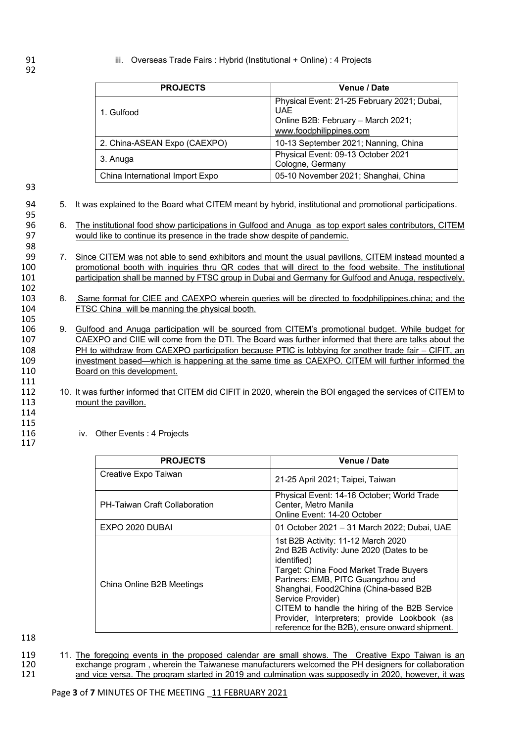## 91 **iii.** Overseas Trade Fairs : Hybrid (Institutional + Online) : 4 Projects

| <b>PROJECTS</b>                 | Venue / Date                                                                                                               |
|---------------------------------|----------------------------------------------------------------------------------------------------------------------------|
| 1. Gulfood                      | Physical Event: 21-25 February 2021; Dubai,<br><b>UAE</b><br>Online B2B: February - March 2021;<br>www.foodphilippines.com |
| 2. China-ASEAN Expo (CAEXPO)    | 10-13 September 2021; Nanning, China                                                                                       |
| 3. Anuga                        | Physical Event: 09-13 October 2021<br>Cologne, Germany                                                                     |
| China International Import Expo | 05-10 November 2021; Shanghai, China                                                                                       |

93

95

98

102

105

94 5. It was explained to the Board what CITEM meant by hybrid, institutional and promotional participations.

96 6. The institutional food show participations in Gulfood and Anuga as top export sales contributors, CITEM 97 would like to continue its presence in the trade show despite of pandemic.

7. Since CITEM was not able to send exhibitors and mount the usual pavillons, CITEM instead mounted a 100 promotional booth with inquiries thru QR codes that will direct to the food website. The institutional 101 participation shall be manned by FTSC group in Dubai and Germany for Gulfood and Anuga, respectively.

103 8. Same format for CIEE and CAEXPO wherein queries will be directed to foodphilippines.china; and the 104 FTSC China will be manning the physical booth.

106 9. Gulfood and Anuga participation will be sourced from CITEM's promotional budget. While budget for 107 CAEXPO and CIIE will come from the DTI. The Board was further informed that there are talks about the 108 PH to withdraw from CAEXPO participation because PTIC is lobbying for another trade fair – CIFIT, an 109 investment based—which is happening at the same time as CAEXPO. CITEM will further informed the 110 Board on this development.

- 112 10. It was further informed that CITEM did CIFIT in 2020, wherein the BOI engaged the services of CITEM to 113 mount the pavillon.
- 114 115

117

111

116 iv. Other Events : 4 Projects

| <b>PROJECTS</b>                      | <b>Venue / Date</b>                                                                                                                                                                                                                                                                                                                                                                            |
|--------------------------------------|------------------------------------------------------------------------------------------------------------------------------------------------------------------------------------------------------------------------------------------------------------------------------------------------------------------------------------------------------------------------------------------------|
| Creative Expo Taiwan                 | 21-25 April 2021; Taipei, Taiwan                                                                                                                                                                                                                                                                                                                                                               |
| <b>PH-Taiwan Craft Collaboration</b> | Physical Event: 14-16 October; World Trade<br>Center, Metro Manila<br>Online Event: 14-20 October                                                                                                                                                                                                                                                                                              |
| EXPO 2020 DUBAI                      | 01 October 2021 - 31 March 2022; Dubai, UAE                                                                                                                                                                                                                                                                                                                                                    |
| China Online B2B Meetings            | 1st B2B Activity: 11-12 March 2020<br>2nd B2B Activity: June 2020 (Dates to be<br>identified)<br>Target: China Food Market Trade Buyers<br>Partners: EMB, PITC Guangzhou and<br>Shanghai, Food2China (China-based B2B<br>Service Provider)<br>CITEM to handle the hiring of the B2B Service<br>Provider, Interpreters; provide Lookbook (as<br>reference for the B2B), ensure onward shipment. |

118

119 11. The foregoing events in the proposed calendar are small shows. The Creative Expo Taiwan is an 120 exchange program , wherein the Taiwanese manufacturers welcomed the PH designers for collaboration<br>121 https://www.andivideo.com/started in 2019 and culmination was supposedly in 2020, however, it was and vice versa. The program started in 2019 and culmination was supposedly in 2020, however, it was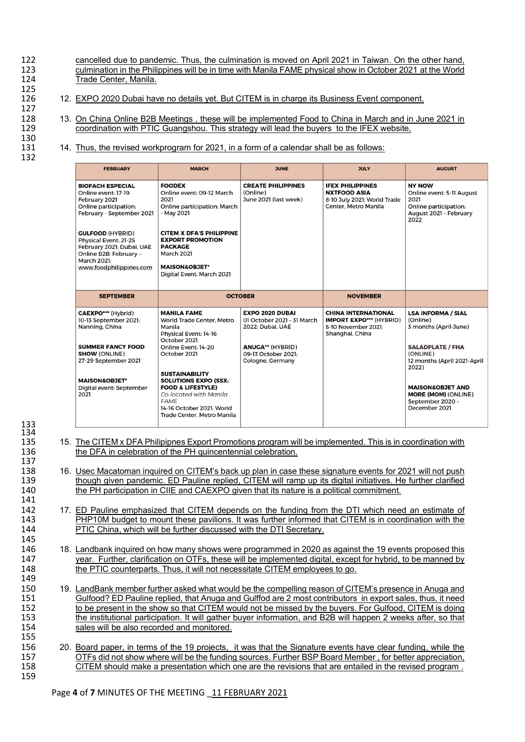cancelled due to pandemic. Thus, the culmination is moved on April 2021 in Taiwan. On the other hand,<br>123 culmination in the Philippines will be in time with Manila FAMF physical show in October 2021 at the World 123 culmination in the Philippines will be in time with Manila FAME physical show in October 2021 at the World<br>124 Trade Center, Manila. Trade Center, Manila.

- 12. EXPO 2020 Dubai have no details yet. But CITEM is in charge its Business Event component.
- 128 13. On China Online B2B Meetings . these will be implemented Food to China in March and in June 2021 in coordination with PTIC Guangshou. This strategy will lead the buyers to the IFEX website. coordination with PTIC Guangshou. This strategy will lead the buyers to the IFEX website,
	- 14. Thus, the revised workprogram for 2021, in a form of a calendar shall be as follows:

| <b>FEBRUARY</b>                                                                                                                                                                                                                                                            | <b>MARCH</b>                                                                                                                                                                                                                                                  | <b>JUNE</b>                                                                                         | <b>JULY</b>                                                                                            | <b>AUGUST</b>                                                                                                 |
|----------------------------------------------------------------------------------------------------------------------------------------------------------------------------------------------------------------------------------------------------------------------------|---------------------------------------------------------------------------------------------------------------------------------------------------------------------------------------------------------------------------------------------------------------|-----------------------------------------------------------------------------------------------------|--------------------------------------------------------------------------------------------------------|---------------------------------------------------------------------------------------------------------------|
| <b>BIOFACH ESPECIAL</b><br>Online event: 17-19<br>February 2021<br>Online participation:<br>February - September 2021<br><b>GULFOOD (HYBRID)</b><br>Physical Event: 21-25<br>February 2021; Dubai, UAE<br>Online B2B: February -<br>March 2021:<br>www.foodphilippines.com | <b>FOODEX</b><br>Online event: 09-12 March<br>2021<br>Online participation: March<br>- May 2021<br><b>CITEM X DFA'S PHILIPPINE</b><br><b>EXPORT PROMOTION</b><br><b>PACKAGE</b><br><b>March 2021</b><br><b>MAISON&amp;OBJET*</b><br>Digital Event: March 2021 | <b>CREATE PHILIPPINES</b><br>(Online)<br>June 2021 (last week)                                      | <b>IFEX PHILIPPINES</b><br><b>NXTFOOD ASIA</b><br>8-10 July 2021: World Trade<br>Center, Metro Manila  | <b>NY NOW</b><br>Online event: 5-11 August<br>2021<br>Online participation:<br>August 2021 - February<br>2022 |
| <b>SEPTEMBER</b>                                                                                                                                                                                                                                                           |                                                                                                                                                                                                                                                               | <b>OCTOBER</b>                                                                                      | <b>NOVEMBER</b>                                                                                        |                                                                                                               |
| <b>CAEXPO***</b> (Hybrid)<br>10-13 September 2021:<br>Nanning, China<br><b>SUMMER FANCY FOOD</b>                                                                                                                                                                           | <b>MANILA FAME</b><br><b>World Trade Center, Metro</b><br>Manila<br>Physical Event: 14-16<br>October 2021<br>Online Event: 14-20                                                                                                                              | <b>EXPO 2020 DUBAI</b><br>01 October 2021 - 31 March<br>2022; Dubai, UAE<br><b>ANUGA** (HYBRID)</b> | <b>CHINA INTERNATIONAL</b><br><b>IMPORT EXPO*** (HYBRID)</b><br>5-10 November 2021:<br>Shanghai, China | <b>LSA INFORMA / SIAL</b><br>(Online)<br>3 months (April-June)<br><b>SALADPLATE / FHA</b>                     |
| <b>SHOW (ONLINE)</b><br>27-29 September 2021                                                                                                                                                                                                                               | October 2021<br><b>SUSTAINABILITY</b>                                                                                                                                                                                                                         | 09-13 October 2021:<br>Cologne, Germany                                                             |                                                                                                        | (ONLINE)<br>12 months (April 2021-April<br>2022)                                                              |
| <b>MAISON&amp;OBJET*</b><br>Digital event: September<br>2021                                                                                                                                                                                                               | <b>SOLUTIONS EXPO (SSX:</b><br><b>FOOD &amp; LIFESTYLE)</b><br>Co-located with Manila<br><b>FAME</b><br>14-16 October 2021: World                                                                                                                             |                                                                                                     |                                                                                                        | <b>MAISON&amp;OBJET AND</b><br><b>MORE (MOM) (ONLINE)</b><br>September 2020 -<br>December 2021                |

137<br>138 141

133 134

125<br>126

127

130<br>131

132

155

- 135 15. The CITEM x DFA Philipipnes Export Promotions program will be implemented. This is in coordination with 136 the DFA in celebration of the PH quincentennial celebration.
- 138 16. Usec Macatoman inquired on CITEM's back up plan in case these signature events for 2021 will not push<br>139 though given pandemic. FD Pauline replied. CITEM will ramp up its digital initiatives. He further clarified 139 though given pandemic. ED Pauline replied, CITEM will ramp up its digital initiatives. He further clarified<br>140 the PH participation in CIIE and CAEXPO given that its nature is a political commitment. 140 the PH participation in CIIE and CAEXPO given that its nature is a political commitment.
- 142 17. ED Pauline emphasized that CITEM depends on the funding from the DTI which need an estimate of 143 143 PHP10M budget to mount these pavilions. It was further informed that CITEM is in coordination with the 144 PTIC China, which will be further discussed with the DTI Secretary.
- 146 18. Landbank inquired on how many shows were programmed in 2020 as against the 19 events proposed this 147 year. Further, clarification on OTFs, these will be implemented digital, except for hybrid, to be manned by<br>148 the PTIC counterparts. Thus, it will not necessitate CITEM employees to go. the PTIC counterparts. Thus, it will not necessitate CITEM employees to go.
- 150 19. LandBank member further asked what would be the compelling reason of CITEM's presence in Anuga and<br>151 Gulfood? ED Pauline replied, that Anuga and Gulffod are 2 most contributors in export sales, thus, it need 151 Gulfood? ED Pauline replied, that Anuga and Gulffod are 2 most contributors in export sales, thus, it need<br>152 to be present in the show so that CITEM would not be missed by the buyers. For Gulfood, CITEM is doing 152 to be present in the show so that CITEM would not be missed by the buyers. For Gulfood, CITEM is doing<br>153 the institutional participation. It will gather buyer information, and B2B will happen 2 weeks after, so that 153 the institutional participation. It will gather buyer information, and B2B will happen 2 weeks after, so that<br>154 sales will be also recorded and monitored. sales will be also recorded and monitored.
- 156 20. Board paper, in terms of the 19 projects, it was that the Signature events have clear funding, while the 157 OTFs did not show where will be the funding sources. Further BSP Board Member, for better appreciation, 158 CITEM should make a presentation which one are the revisions that are entailed in the revised program. 158 CITEM should make a presentation which one are the revisions that are entailed in the revised program . 159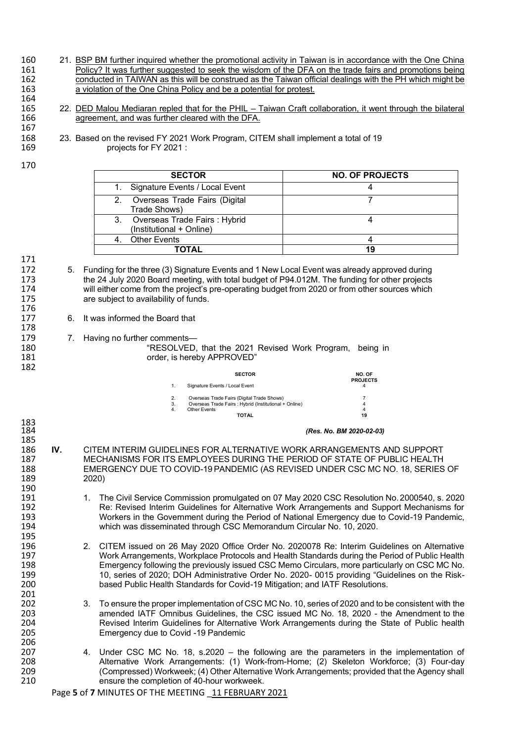- 160 21. BSP BM further inquired whether the promotional activity in Taiwan is in accordance with the One China<br>161 Policy? It was further suggested to seek the wisdom of the DFA on the trade fairs and promotions being 161 Policy? It was further suggested to seek the wisdom of the DFA on the trade fairs and promotions being<br>162 conducted in TAIWAN as this will be construed as the Taiwan official dealings with the PH which might be conducted in TAIWAN as this will be construed as the Taiwan official dealings with the PH which might be 163 a violation of the One China Policy and be a potential for protest. 164
- 165 22. DED Malou Mediaran repled that for the PHIL Taiwan Craft collaboration, it went through the bilateral 166 agreement, and was further cleared with the DFA.
- 168 23. Based on the revised FY 2021 Work Program, CITEM shall implement a total of 19
	- projects for FY 2021 :
- 170

167

| <b>SECTOR</b>                                               | <b>NO. OF PROJECTS</b> |
|-------------------------------------------------------------|------------------------|
| Signature Events / Local Event                              |                        |
| 2. Overseas Trade Fairs (Digital<br>Trade Shows)            |                        |
| 3. Overseas Trade Fairs: Hybrid<br>(Institutional + Online) |                        |
| <b>Other Events</b>                                         |                        |
| ΤΟΤΑL                                                       | 19                     |

171<br>172

176

178

183<br>184

195<br>196

201<br>202

206<br>207

- 5. Funding for the three (3) Signature Events and 1 New Local Event was already approved during 173 the 24 July 2020 Board meeting, with total budget of P94.012M. The funding for other projects<br>174 will either come from the project's pre-operating budget from 2020 or from other sources which 174 will either come from the project's pre-operating budget from 2020 or from other sources which<br>175 **and Start and Start and Start and Start and Start and Start and Start and Start and Start and Start and S** are subject to availability of funds.
- 177 6. It was informed the Board that
- 179 7. Having no further comments—<br>180 **RESOLVED**
- 180 **180** "RESOLVED, that the 2021 Revised Work Program, being in<br>181 **181** order is hereby APPROVED" 181 order, is hereby APPROVED"<br>182

| 182 |    |                                                        |                           |
|-----|----|--------------------------------------------------------|---------------------------|
|     |    | <b>SECTOR</b>                                          | NO. OF<br><b>PROJECTS</b> |
|     |    | Signature Events / Local Event                         |                           |
|     | 2. | Overseas Trade Fairs (Digital Trade Shows)             |                           |
|     | 3. | Overseas Trade Fairs : Hybrid (Institutional + Online) |                           |
|     | 4. | Other Events                                           |                           |
|     |    | <b>TOTAL</b>                                           | 19                        |
|     |    |                                                        |                           |

## 184 *(Res. No. BM 2020-02-03)*

- 185<br>186 186 **IV.** CITEM INTERIM GUIDELINES FOR ALTERNATIVE WORK ARRANGEMENTS AND SUPPORT 187 MECHANISMS FOR ITS EMPLOYEES DURING THE PERIOD OF STATE OF PUBLIC HEALTH 188 EMERGENCY DUE TO COVID-19 PANDEMIC (AS REVISED UNDER CSC MC NO. 18, SERIES OF 2020) 190<br>191
- 191 1. The Civil Service Commission promulgated on 07 May 2020 CSC Resolution No. 2000540, s. 2020<br>192 1. Re: Revised Interim Guidelines for Alternative Work Arrangements and Support Mechanisms for 192 **Re: Revised Interim Guidelines for Alternative Work Arrangements and Support Mechanisms for Arrangement of the Government during the Period of National Emergency due to Covid-19 Pandemic.** 193 Workers in the Government during the Period of National Emergency due to Covid-19 Pandemic,<br>194 which was disseminated through CSC Memorandum Circular No. 10, 2020. which was disseminated through CSC Memorandum Circular No. 10, 2020.
- 196 2. CITEM issued on 26 May 2020 Office Order No. 2020078 Re: Interim Guidelines on Alternative 197 Work Arrangements, Workplace Protocols and Health Standards during the Period of Public Health<br>198 **Emergency following the previously issued CSC Memo** Circulars, more particularly on CSC MC No. 198 Emergency following the previously issued CSC Memo Circulars, more particularly on CSC MC No.<br>199 10. series of 2020: DOH Administrative Order No. 2020- 0015 providing "Guidelines on the Risk-199 10, series of 2020; DOH Administrative Order No. 2020- 0015 providing "Guidelines on the Risk-<br>200 100 based Public Health Standards for Covid-19 Mitigation: and IATF Resolutions. based Public Health Standards for Covid-19 Mitigation; and IATF Resolutions.
- 202 3. To ensure the proper implementation of CSC MC No. 10, series of 2020 and to be consistent with the<br>203 **19. In a series and the STA COL** amended IATF Omnibus Guidelines, the CSC issued MC No. 18, 2020 the Amendmen 203 203 amended IATF Omnibus Guidelines, the CSC issued MC No. 18, 2020 - the Amendment to the<br>204 Revised Interim Guidelines for Alternative Work Arrangements during the State of Public health 204 Revised Interim Guidelines for Alternative Work Arrangements during the State of Public health<br>205 Chernation of the Covid -19 Pandemic Emergency due to Covid -19 Pandemic
- 207 4. Under CSC MC No. 18, s.2020 the following are the parameters in the implementation of 208 (208) Alternative Work Arrangements: (1) Work-from-Home: (2) Skeleton Workforce: (3) Four-dav 208 Alternative Work Arrangements: (1) Work-from-Home; (2) Skeleton Workforce; (3) Four-day<br>209 (Compressed) Workweek; (4) Other Alternative Work Arrangements; provided that the Agency shall 209 (Compressed) Workweek; (4) Other Alternative Work Arrangements; provided that the Agency shall ensure the completion of 40-hour workweek.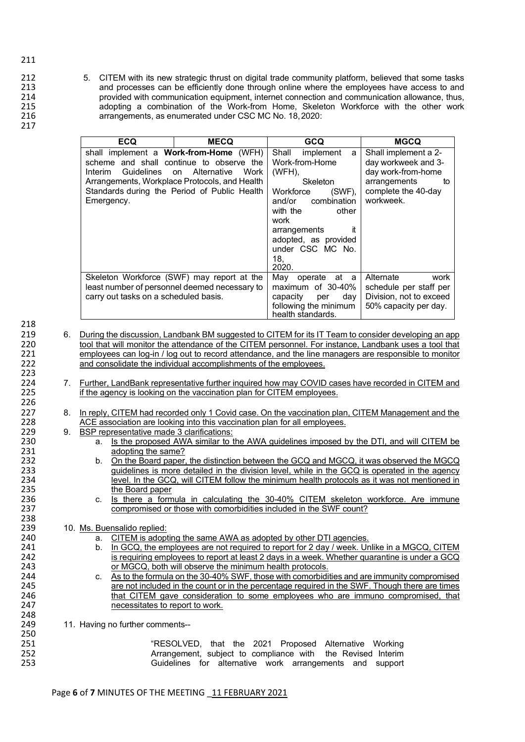- 212 5. CITEM with its new strategic thrust on digital trade community platform, believed that some tasks<br>213 and processes can be efficiently done through online where the employees have access to and 213 213 and processes can be efficiently done through online where the employees have access to and<br>214 brovided with communication equipment, internet connection and communication allowance, thus, 214 provided with communication equipment, internet connection and communication allowance, thus,<br>215 adopting a combination of the Work-from Home. Skeleton Workforce with the other work 215 adopting a combination of the Work-from Home, Skeleton Workforce with the other work<br>216 arrangements as enumerated under CSC MC No. 18.2020: arrangements, as enumerated under CSC MC No. 18, 2020:
- 217

| <b>ECQ</b>                            | <b>MECQ</b>                                                                                                                                                                                                             | <b>GCQ</b>                                                                                                                                                                                                                           | <b>MGCQ</b>                                                                                                                 |
|---------------------------------------|-------------------------------------------------------------------------------------------------------------------------------------------------------------------------------------------------------------------------|--------------------------------------------------------------------------------------------------------------------------------------------------------------------------------------------------------------------------------------|-----------------------------------------------------------------------------------------------------------------------------|
| Guidelines<br>Interim<br>Emergency.   | shall implement a <b>Work-from-Home</b> (WFH)<br>scheme and shall continue to observe the<br>Alternative<br>Work<br>on<br>Arrangements, Workplace Protocols, and Health<br>Standards during the Period of Public Health | Shall<br>implement<br>a<br>Work-from-Home<br>$(WFH)$ ,<br>Skeleton<br>Workforce<br>$(SWF)$ ,<br>combination<br>and/or<br>other<br>with the<br>work<br>it<br>arrangements<br>adopted, as provided<br>under CSC MC No.<br>18,<br>2020. | Shall implement a 2-<br>day workweek and 3-<br>day work-from-home<br>arrangements<br>to<br>complete the 40-day<br>workweek. |
| carry out tasks on a scheduled basis. | Skeleton Workforce (SWF) may report at the<br>least number of personnel deemed necessary to                                                                                                                             | May<br>at a<br>operate<br>maximum of 30-40%<br>capacity<br>day<br>per<br>following the minimum<br>health standards.                                                                                                                  | Alternate<br>work<br>schedule per staff per<br>Division, not to exceed<br>50% capacity per day.                             |

223<br>224 226<br>227

238<br>239

218<br>219

- 219 6. During the discussion, Landbank BM suggested to CITEM for its IT Team to consider developing an app<br>220 tool that will monitor the attendance of the CITEM personnel. For instance, Landbank uses a tool that 220 tool that will monitor the attendance of the CITEM personnel. For instance, Landbank uses a tool that 221 employees can log-in / log out to record attendance, and the line managers are responsible to monitor 221 employees can log-in / log out to record attendance, and the line managers are responsible to monitor<br>222 and consolidate the individual accomplishments of the employees. and consolidate the individual accomplishments of the employees.
- 224 7. Further, LandBank representative further inquired how may COVID cases have recorded in CITEM and 225 if the agency is looking on the vaccination plan for CITEM employees. if the agency is looking on the vaccination plan for CITEM employees.
- 227 8. In reply, CITEM had recorded only 1 Covid case. On the vaccination plan, CITEM Management and the 228 ACE association are looking into this vaccination plan for all employees. 228 ACE association are looking into this vaccination plan for all employees.<br>229 9 BSP representative made 3 clarifications:
- 229 9. BSP representative made 3 clarifications:<br>230 a. Is the proposed AWA similar to 1
- 230 a. Is the proposed AWA similar to the AWA guidelines imposed by the DTI, and will CITEM be 231 231 adopting the same?<br>232 b. On the Board paper
- b. <u>On the Board paper, the distinction between the GCQ and MGCQ, it was observed the MGCQ</u><br>233 quidelines is more detailed in the division level, while in the GCQ is operated in the agency 233 guidelines is more detailed in the division level, while in the GCQ is operated in the agency<br>234 level, In the GCQ, will CITEM follow the minimum health protocols as it was not mentioned in 234 level. In the GCQ, will CITEM follow the minimum health protocols as it was not mentioned in 235 235 the Board paper<br>236 c. Is there a form
- 236 c. <u>Is there a formula in calculating the 30-40% CITEM skeleton workforce. Are immune</u><br>237 compromised or those with comorbidities included in the SWF count? compromised or those with comorbidities included in the SWF count?

## 239 10. Ms. Buensalido replied:<br>240 200 a CITEM is adopt

- 240 a. CITEM is adopting the same AWA as adopted by other DTI agencies.<br>241 b In GCQ the employees are not required to report for 2 day / week Unit
- 241 b. In GCQ, the employees are not required to report for 2 day / week. Unlike in a MGCQ, CITEM<br>242 is requiring employees to report at least 2 days in a week. Whether quarantine is under a GCQ 242 is requiring employees to report at least 2 days in a week. Whether quarantine is under a GCQ<br>243 or MGCQ, both will observe the minimum health protocols. 243 **or MGCQ, both will observe the minimum health protocols.**<br>244 **c.** As to the formula on the 30-40% SWF, those with comorbidi
- 244 c. As to the formula on the 30-40% SWF, those with comorbidities and are immunity compromised<br>245 are not included in the count or in the percentage required in the SWF. Though there are times 245 245 are not included in the count or in the percentage required in the SWF. Though there are times<br>246 that CITEM gave consideration to some employees who are immuno compromised, that that CITEM gave consideration to some employees who are immuno compromised, that 247 necessitates to report to work.

11. Having no further comments--

| 250 |  |
|-----|--|
| 251 |  |
| 252 |  |
| 253 |  |

248<br>249

251 "RESOLVED, that the 2021 Proposed Alternative Working 252 **Arrangement, subject to compliance with the Revised Interim**<br>253 **Arrangement** Suidelines for alternative work arrangements and support Guidelines for alternative work arrangements and support

211